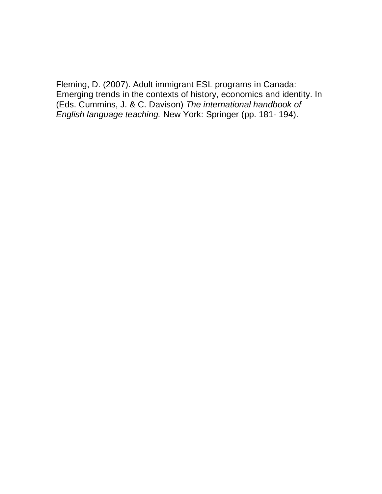Fleming, D. (2007). Adult immigrant ESL programs in Canada: Emerging trends in the contexts of history, economics and identity. In (Eds. Cummins, J. & C. Davison) *The international handbook of English language teaching.* New York: Springer (pp. 181- 194).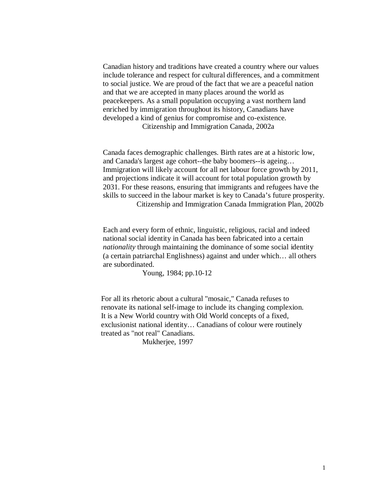Canadian history and traditions have created a country where our values include tolerance and respect for cultural differences, and a commitment to social justice. We are proud of the fact that we are a peaceful nation and that we are accepted in many places around the world as peacekeepers. As a small population occupying a vast northern land enriched by immigration throughout its history, Canadians have developed a kind of genius for compromise and co-existence. Citizenship and Immigration Canada, 2002a

 Canada faces demographic challenges. Birth rates are at a historic low, and Canada's largest age cohort--the baby boomers--is ageing… Immigration will likely account for all net labour force growth by 2011, and projections indicate it will account for total population growth by 2031. For these reasons, ensuring that immigrants and refugees have the skills to succeed in the labour market is key to Canada's future prosperity. Citizenship and Immigration Canada Immigration Plan, 2002b

 Each and every form of ethnic, linguistic, religious, racial and indeed national social identity in Canada has been fabricated into a certain *nationality* through maintaining the dominance of some social identity (a certain patriarchal Englishness) against and under which… all others are subordinated.

Young, 1984; pp.10-12

 For all its rhetoric about a cultural "mosaic," Canada refuses to renovate its national self-image to include its changing complexion. It is a New World country with Old World concepts of a fixed, exclusionist national identity… Canadians of colour were routinely treated as "not real" Canadians.

Mukherjee, 1997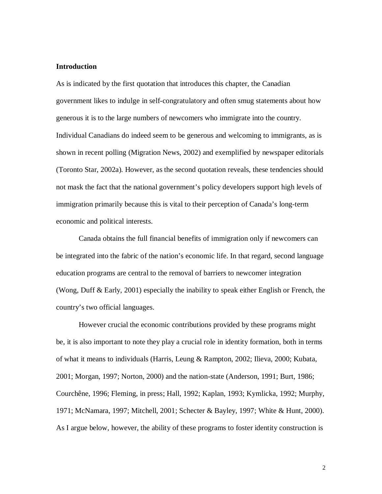## **Introduction**

As is indicated by the first quotation that introduces this chapter, the Canadian government likes to indulge in self-congratulatory and often smug statements about how generous it is to the large numbers of newcomers who immigrate into the country. Individual Canadians do indeed seem to be generous and welcoming to immigrants, as is shown in recent polling (Migration News, 2002) and exemplified by newspaper editorials (Toronto Star, 2002a). However, as the second quotation reveals, these tendencies should not mask the fact that the national government's policy developers support high levels of immigration primarily because this is vital to their perception of Canada's long-term economic and political interests.

 Canada obtains the full financial benefits of immigration only if newcomers can be integrated into the fabric of the nation's economic life. In that regard, second language education programs are central to the removal of barriers to newcomer integration (Wong, Duff & Early, 2001) especially the inability to speak either English or French, the country's two official languages.

 However crucial the economic contributions provided by these programs might be, it is also important to note they play a crucial role in identity formation, both in terms of what it means to individuals (Harris, Leung & Rampton, 2002; Ilieva, 2000; Kubata, 2001; Morgan, 1997; Norton, 2000) and the nation-state (Anderson, 1991; Burt, 1986; Courchêne, 1996; Fleming, in press; Hall, 1992; Kaplan, 1993; Kymlicka, 1992; Murphy, 1971; McNamara, 1997; Mitchell, 2001; Schecter & Bayley, 1997; White & Hunt, 2000). As I argue below, however, the ability of these programs to foster identity construction is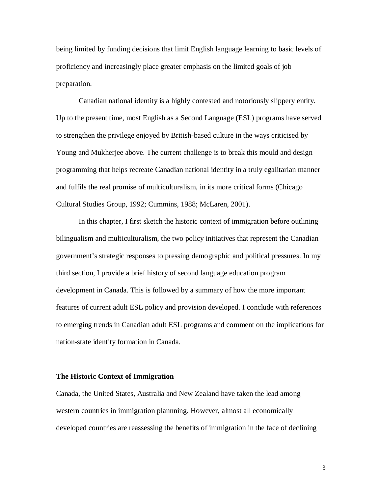being limited by funding decisions that limit English language learning to basic levels of proficiency and increasingly place greater emphasis on the limited goals of job preparation.

 Canadian national identity is a highly contested and notoriously slippery entity. Up to the present time, most English as a Second Language (ESL) programs have served to strengthen the privilege enjoyed by British-based culture in the ways criticised by Young and Mukherjee above. The current challenge is to break this mould and design programming that helps recreate Canadian national identity in a truly egalitarian manner and fulfils the real promise of multiculturalism, in its more critical forms (Chicago Cultural Studies Group, 1992; Cummins, 1988; McLaren, 2001).

 In this chapter, I first sketch the historic context of immigration before outlining bilingualism and multiculturalism, the two policy initiatives that represent the Canadian government's strategic responses to pressing demographic and political pressures. In my third section, I provide a brief history of second language education program development in Canada. This is followed by a summary of how the more important features of current adult ESL policy and provision developed. I conclude with references to emerging trends in Canadian adult ESL programs and comment on the implications for nation-state identity formation in Canada.

## **The Historic Context of Immigration**

Canada, the United States, Australia and New Zealand have taken the lead among western countries in immigration plannning. However, almost all economically developed countries are reassessing the benefits of immigration in the face of declining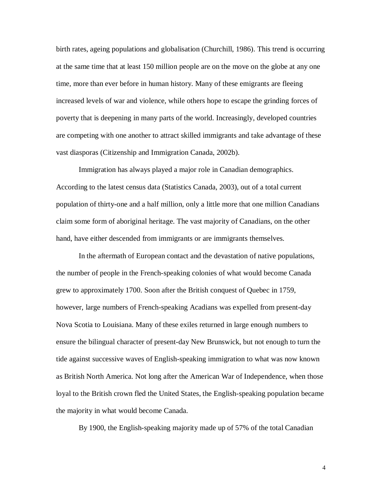birth rates, ageing populations and globalisation (Churchill, 1986). This trend is occurring at the same time that at least 150 million people are on the move on the globe at any one time, more than ever before in human history. Many of these emigrants are fleeing increased levels of war and violence, while others hope to escape the grinding forces of poverty that is deepening in many parts of the world. Increasingly, developed countries are competing with one another to attract skilled immigrants and take advantage of these vast diasporas (Citizenship and Immigration Canada, 2002b).

 Immigration has always played a major role in Canadian demographics. According to the latest census data (Statistics Canada, 2003), out of a total current population of thirty-one and a half million, only a little more that one million Canadians claim some form of aboriginal heritage. The vast majority of Canadians, on the other hand, have either descended from immigrants or are immigrants themselves.

 In the aftermath of European contact and the devastation of native populations, the number of people in the French-speaking colonies of what would become Canada grew to approximately 1700. Soon after the British conquest of Quebec in 1759, however, large numbers of French-speaking Acadians was expelled from present-day Nova Scotia to Louisiana. Many of these exiles returned in large enough numbers to ensure the bilingual character of present-day New Brunswick, but not enough to turn the tide against successive waves of English-speaking immigration to what was now known as British North America. Not long after the American War of Independence, when those loyal to the British crown fled the United States, the English-speaking population became the majority in what would become Canada.

By 1900, the English-speaking majority made up of 57% of the total Canadian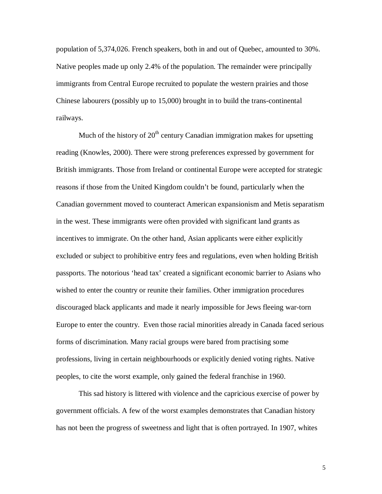population of 5,374,026. French speakers, both in and out of Quebec, amounted to 30%. Native peoples made up only 2.4% of the population. The remainder were principally immigrants from Central Europe recruited to populate the western prairies and those Chinese labourers (possibly up to 15,000) brought in to build the trans-continental railways.

Much of the history of  $20<sup>th</sup>$  century Canadian immigration makes for upsetting reading (Knowles, 2000). There were strong preferences expressed by government for British immigrants. Those from Ireland or continental Europe were accepted for strategic reasons if those from the United Kingdom couldn't be found, particularly when the Canadian government moved to counteract American expansionism and Metis separatism in the west. These immigrants were often provided with significant land grants as incentives to immigrate. On the other hand, Asian applicants were either explicitly excluded or subject to prohibitive entry fees and regulations, even when holding British passports. The notorious 'head tax' created a significant economic barrier to Asians who wished to enter the country or reunite their families. Other immigration procedures discouraged black applicants and made it nearly impossible for Jews fleeing war-torn Europe to enter the country. Even those racial minorities already in Canada faced serious forms of discrimination. Many racial groups were bared from practising some professions, living in certain neighbourhoods or explicitly denied voting rights. Native peoples, to cite the worst example, only gained the federal franchise in 1960.

 This sad history is littered with violence and the capricious exercise of power by government officials. A few of the worst examples demonstrates that Canadian history has not been the progress of sweetness and light that is often portrayed. In 1907, whites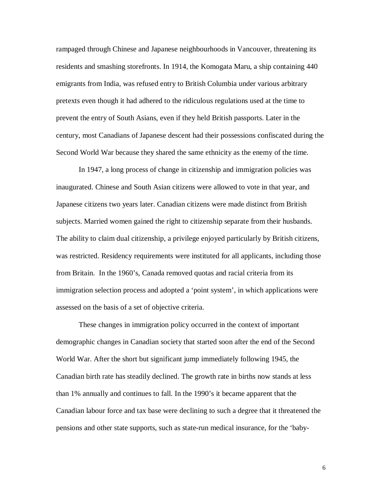rampaged through Chinese and Japanese neighbourhoods in Vancouver, threatening its residents and smashing storefronts. In 1914, the Komogata Maru, a ship containing 440 emigrants from India, was refused entry to British Columbia under various arbitrary pretexts even though it had adhered to the ridiculous regulations used at the time to prevent the entry of South Asians, even if they held British passports. Later in the century, most Canadians of Japanese descent had their possessions confiscated during the Second World War because they shared the same ethnicity as the enemy of the time.

 In 1947, a long process of change in citizenship and immigration policies was inaugurated. Chinese and South Asian citizens were allowed to vote in that year, and Japanese citizens two years later. Canadian citizens were made distinct from British subjects. Married women gained the right to citizenship separate from their husbands. The ability to claim dual citizenship, a privilege enjoyed particularly by British citizens, was restricted. Residency requirements were instituted for all applicants, including those from Britain. In the 1960's, Canada removed quotas and racial criteria from its immigration selection process and adopted a 'point system', in which applications were assessed on the basis of a set of objective criteria.

 These changes in immigration policy occurred in the context of important demographic changes in Canadian society that started soon after the end of the Second World War. After the short but significant jump immediately following 1945, the Canadian birth rate has steadily declined. The growth rate in births now stands at less than 1% annually and continues to fall. In the 1990's it became apparent that the Canadian labour force and tax base were declining to such a degree that it threatened the pensions and other state supports, such as state-run medical insurance, for the 'baby-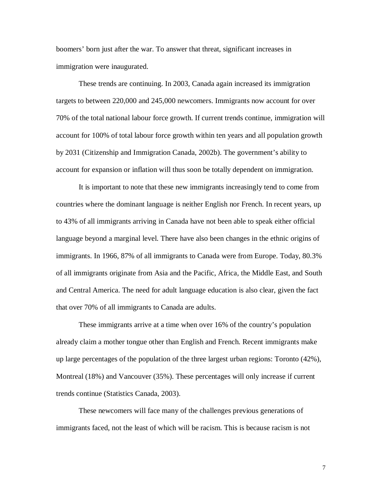boomers' born just after the war. To answer that threat, significant increases in immigration were inaugurated.

 These trends are continuing. In 2003, Canada again increased its immigration targets to between 220,000 and 245,000 newcomers. Immigrants now account for over 70% of the total national labour force growth. If current trends continue, immigration will account for 100% of total labour force growth within ten years and all population growth by 2031 (Citizenship and Immigration Canada, 2002b). The government's ability to account for expansion or inflation will thus soon be totally dependent on immigration.

 It is important to note that these new immigrants increasingly tend to come from countries where the dominant language is neither English nor French. In recent years, up to 43% of all immigrants arriving in Canada have not been able to speak either official language beyond a marginal level. There have also been changes in the ethnic origins of immigrants. In 1966, 87% of all immigrants to Canada were from Europe. Today, 80.3% of all immigrants originate from Asia and the Pacific, Africa, the Middle East, and South and Central America. The need for adult language education is also clear, given the fact that over 70% of all immigrants to Canada are adults.

 These immigrants arrive at a time when over 16% of the country's population already claim a mother tongue other than English and French. Recent immigrants make up large percentages of the population of the three largest urban regions: Toronto (42%), Montreal (18%) and Vancouver (35%). These percentages will only increase if current trends continue (Statistics Canada, 2003).

 These newcomers will face many of the challenges previous generations of immigrants faced, not the least of which will be racism. This is because racism is not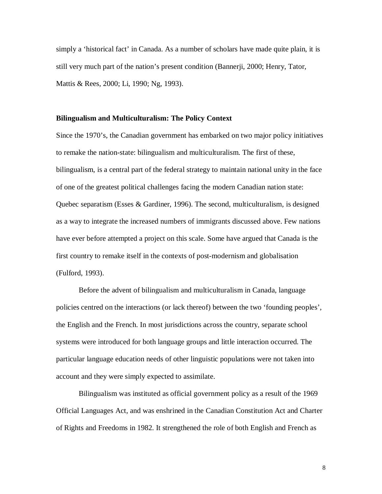simply a 'historical fact' in Canada. As a number of scholars have made quite plain, it is still very much part of the nation's present condition (Bannerji, 2000; Henry, Tator, Mattis & Rees, 2000; Li, 1990; Ng, 1993).

## **Bilingualism and Multiculturalism: The Policy Context**

Since the 1970's, the Canadian government has embarked on two major policy initiatives to remake the nation-state: bilingualism and multiculturalism. The first of these, bilingualism, is a central part of the federal strategy to maintain national unity in the face of one of the greatest political challenges facing the modern Canadian nation state: Quebec separatism (Esses & Gardiner, 1996). The second, multiculturalism, is designed as a way to integrate the increased numbers of immigrants discussed above. Few nations have ever before attempted a project on this scale. Some have argued that Canada is the first country to remake itself in the contexts of post-modernism and globalisation (Fulford, 1993).

 Before the advent of bilingualism and multiculturalism in Canada, language policies centred on the interactions (or lack thereof) between the two 'founding peoples', the English and the French. In most jurisdictions across the country, separate school systems were introduced for both language groups and little interaction occurred. The particular language education needs of other linguistic populations were not taken into account and they were simply expected to assimilate.

 Bilingualism was instituted as official government policy as a result of the 1969 Official Languages Act, and was enshrined in the Canadian Constitution Act and Charter of Rights and Freedoms in 1982. It strengthened the role of both English and French as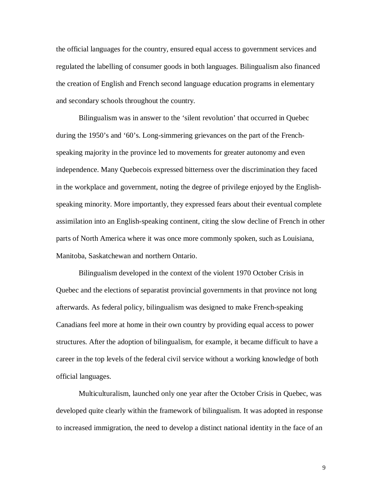the official languages for the country, ensured equal access to government services and regulated the labelling of consumer goods in both languages. Bilingualism also financed the creation of English and French second language education programs in elementary and secondary schools throughout the country.

 Bilingualism was in answer to the 'silent revolution' that occurred in Quebec during the 1950's and '60's. Long-simmering grievances on the part of the Frenchspeaking majority in the province led to movements for greater autonomy and even independence. Many Quebecois expressed bitterness over the discrimination they faced in the workplace and government, noting the degree of privilege enjoyed by the Englishspeaking minority. More importantly, they expressed fears about their eventual complete assimilation into an English-speaking continent, citing the slow decline of French in other parts of North America where it was once more commonly spoken, such as Louisiana, Manitoba, Saskatchewan and northern Ontario.

 Bilingualism developed in the context of the violent 1970 October Crisis in Quebec and the elections of separatist provincial governments in that province not long afterwards. As federal policy, bilingualism was designed to make French-speaking Canadians feel more at home in their own country by providing equal access to power structures. After the adoption of bilingualism, for example, it became difficult to have a career in the top levels of the federal civil service without a working knowledge of both official languages.

 Multiculturalism, launched only one year after the October Crisis in Quebec, was developed quite clearly within the framework of bilingualism. It was adopted in response to increased immigration, the need to develop a distinct national identity in the face of an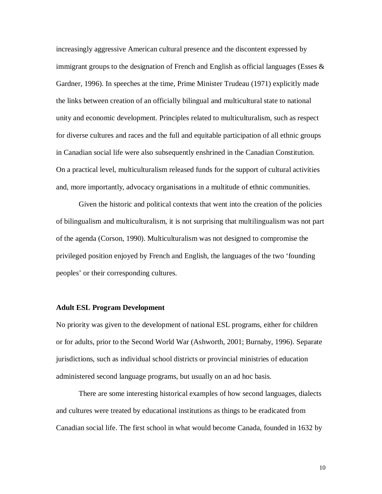increasingly aggressive American cultural presence and the discontent expressed by immigrant groups to the designation of French and English as official languages (Esses  $\&$ Gardner, 1996). In speeches at the time, Prime Minister Trudeau (1971) explicitly made the links between creation of an officially bilingual and multicultural state to national unity and economic development. Principles related to multiculturalism, such as respect for diverse cultures and races and the full and equitable participation of all ethnic groups in Canadian social life were also subsequently enshrined in the Canadian Constitution. On a practical level, multiculturalism released funds for the support of cultural activities and, more importantly, advocacy organisations in a multitude of ethnic communities.

 Given the historic and political contexts that went into the creation of the policies of bilingualism and multiculturalism, it is not surprising that multilingualism was not part of the agenda (Corson, 1990). Multiculturalism was not designed to compromise the privileged position enjoyed by French and English, the languages of the two 'founding peoples' or their corresponding cultures.

## **Adult ESL Program Development**

No priority was given to the development of national ESL programs, either for children or for adults, prior to the Second World War (Ashworth, 2001; Burnaby, 1996). Separate jurisdictions, such as individual school districts or provincial ministries of education administered second language programs, but usually on an ad hoc basis.

 There are some interesting historical examples of how second languages, dialects and cultures were treated by educational institutions as things to be eradicated from Canadian social life. The first school in what would become Canada, founded in 1632 by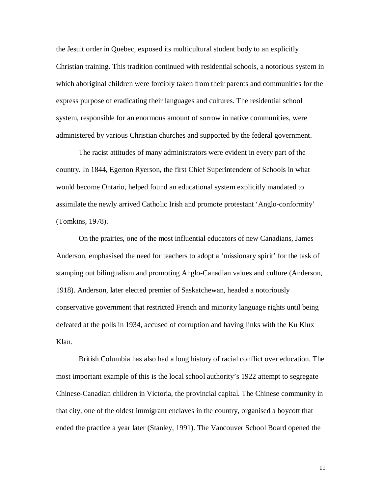the Jesuit order in Quebec, exposed its multicultural student body to an explicitly Christian training. This tradition continued with residential schools, a notorious system in which aboriginal children were forcibly taken from their parents and communities for the express purpose of eradicating their languages and cultures. The residential school system, responsible for an enormous amount of sorrow in native communities, were administered by various Christian churches and supported by the federal government.

 The racist attitudes of many administrators were evident in every part of the country. In 1844, Egerton Ryerson, the first Chief Superintendent of Schools in what would become Ontario, helped found an educational system explicitly mandated to assimilate the newly arrived Catholic Irish and promote protestant 'Anglo-conformity' (Tomkins, 1978).

 On the prairies, one of the most influential educators of new Canadians, James Anderson, emphasised the need for teachers to adopt a 'missionary spirit' for the task of stamping out bilingualism and promoting Anglo-Canadian values and culture (Anderson, 1918). Anderson, later elected premier of Saskatchewan, headed a notoriously conservative government that restricted French and minority language rights until being defeated at the polls in 1934, accused of corruption and having links with the Ku Klux Klan.

 British Columbia has also had a long history of racial conflict over education. The most important example of this is the local school authority's 1922 attempt to segregate Chinese-Canadian children in Victoria, the provincial capital. The Chinese community in that city, one of the oldest immigrant enclaves in the country, organised a boycott that ended the practice a year later (Stanley, 1991). The Vancouver School Board opened the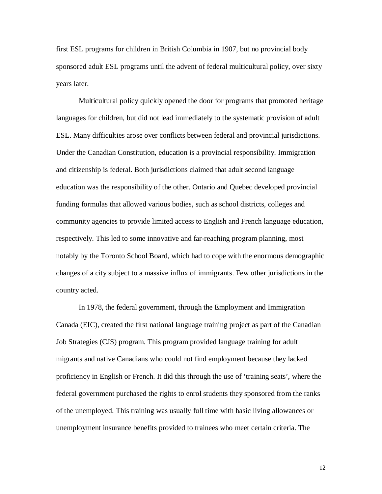first ESL programs for children in British Columbia in 1907, but no provincial body sponsored adult ESL programs until the advent of federal multicultural policy, over sixty years later.

 Multicultural policy quickly opened the door for programs that promoted heritage languages for children, but did not lead immediately to the systematic provision of adult ESL. Many difficulties arose over conflicts between federal and provincial jurisdictions. Under the Canadian Constitution, education is a provincial responsibility. Immigration and citizenship is federal. Both jurisdictions claimed that adult second language education was the responsibility of the other. Ontario and Quebec developed provincial funding formulas that allowed various bodies, such as school districts, colleges and community agencies to provide limited access to English and French language education, respectively. This led to some innovative and far-reaching program planning, most notably by the Toronto School Board, which had to cope with the enormous demographic changes of a city subject to a massive influx of immigrants. Few other jurisdictions in the country acted.

 In 1978, the federal government, through the Employment and Immigration Canada (EIC), created the first national language training project as part of the Canadian Job Strategies (CJS) program. This program provided language training for adult migrants and native Canadians who could not find employment because they lacked proficiency in English or French. It did this through the use of 'training seats', where the federal government purchased the rights to enrol students they sponsored from the ranks of the unemployed. This training was usually full time with basic living allowances or unemployment insurance benefits provided to trainees who meet certain criteria. The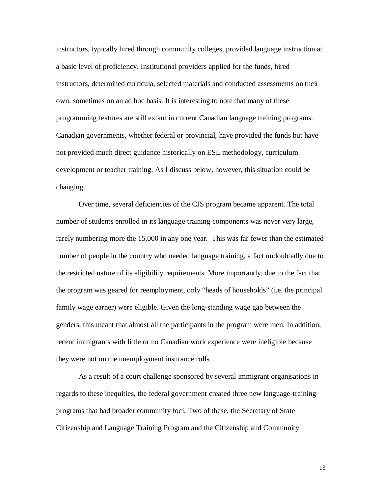instructors, typically hired through community colleges, provided language instruction at a basic level of proficiency. Institutional providers applied for the funds, hired instructors, determined curricula, selected materials and conducted assessments on their own, sometimes on an ad hoc basis. It is interesting to note that many of these programming features are still extant in current Canadian language training programs. Canadian governments, whether federal or provincial, have provided the funds but have not provided much direct guidance historically on ESL methodology, curriculum development or teacher training. As I discuss below, however, this situation could be changing.

 Over time, several deficiencies of the CJS program became apparent. The total number of students enrolled in its language training components was never very large, rarely numbering more the 15,000 in any one year. This was far fewer than the estimated number of people in the country who needed language training, a fact undoubtedly due to the restricted nature of its eligibility requirements. More importantly, due to the fact that the program was geared for reemployment, only "heads of households" (i.e. the principal family wage earner) were eligible. Given the long-standing wage gap between the genders, this meant that almost all the participants in the program were men. In addition, recent immigrants with little or no Canadian work experience were ineligible because they were not on the unemployment insurance rolls.

 As a result of a court challenge sponsored by several immigrant organisations in regards to these inequities, the federal government created three new language-training programs that had broader community foci. Two of these, the Secretary of State Citizenship and Language Training Program and the Citizenship and Community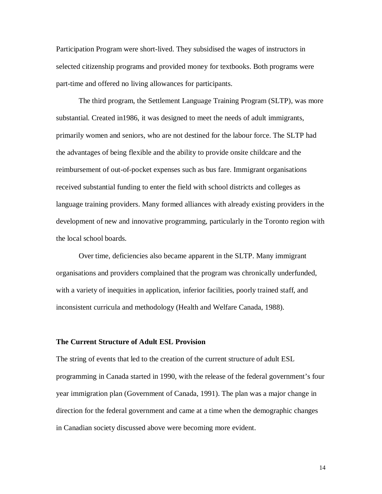Participation Program were short-lived. They subsidised the wages of instructors in selected citizenship programs and provided money for textbooks. Both programs were part-time and offered no living allowances for participants.

 The third program, the Settlement Language Training Program (SLTP), was more substantial. Created in1986, it was designed to meet the needs of adult immigrants, primarily women and seniors, who are not destined for the labour force. The SLTP had the advantages of being flexible and the ability to provide onsite childcare and the reimbursement of out-of-pocket expenses such as bus fare. Immigrant organisations received substantial funding to enter the field with school districts and colleges as language training providers. Many formed alliances with already existing providers in the development of new and innovative programming, particularly in the Toronto region with the local school boards.

 Over time, deficiencies also became apparent in the SLTP. Many immigrant organisations and providers complained that the program was chronically underfunded, with a variety of inequities in application, inferior facilities, poorly trained staff, and inconsistent curricula and methodology (Health and Welfare Canada, 1988).

#### **The Current Structure of Adult ESL Provision**

The string of events that led to the creation of the current structure of adult ESL programming in Canada started in 1990, with the release of the federal government's four year immigration plan (Government of Canada, 1991). The plan was a major change in direction for the federal government and came at a time when the demographic changes in Canadian society discussed above were becoming more evident.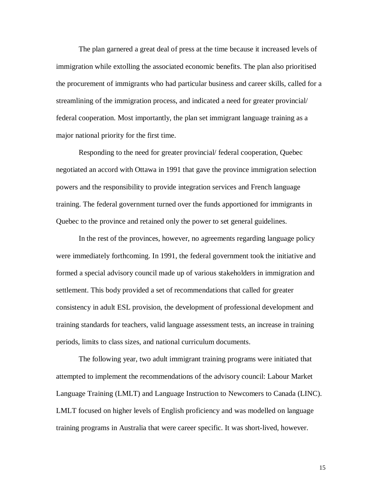The plan garnered a great deal of press at the time because it increased levels of immigration while extolling the associated economic benefits. The plan also prioritised the procurement of immigrants who had particular business and career skills, called for a streamlining of the immigration process, and indicated a need for greater provincial/ federal cooperation. Most importantly, the plan set immigrant language training as a major national priority for the first time.

 Responding to the need for greater provincial/ federal cooperation, Quebec negotiated an accord with Ottawa in 1991 that gave the province immigration selection powers and the responsibility to provide integration services and French language training. The federal government turned over the funds apportioned for immigrants in Quebec to the province and retained only the power to set general guidelines.

 In the rest of the provinces, however, no agreements regarding language policy were immediately forthcoming. In 1991, the federal government took the initiative and formed a special advisory council made up of various stakeholders in immigration and settlement. This body provided a set of recommendations that called for greater consistency in adult ESL provision, the development of professional development and training standards for teachers, valid language assessment tests, an increase in training periods, limits to class sizes, and national curriculum documents.

 The following year, two adult immigrant training programs were initiated that attempted to implement the recommendations of the advisory council: Labour Market Language Training (LMLT) and Language Instruction to Newcomers to Canada (LINC). LMLT focused on higher levels of English proficiency and was modelled on language training programs in Australia that were career specific. It was short-lived, however.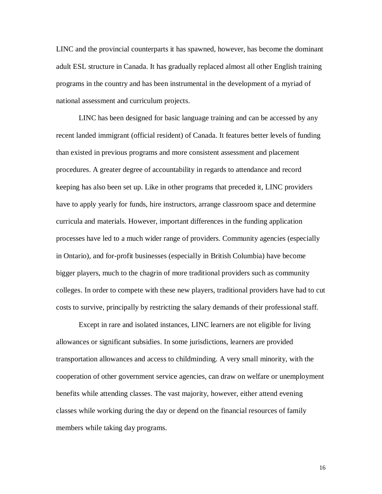LINC and the provincial counterparts it has spawned, however, has become the dominant adult ESL structure in Canada. It has gradually replaced almost all other English training programs in the country and has been instrumental in the development of a myriad of national assessment and curriculum projects.

 LINC has been designed for basic language training and can be accessed by any recent landed immigrant (official resident) of Canada. It features better levels of funding than existed in previous programs and more consistent assessment and placement procedures. A greater degree of accountability in regards to attendance and record keeping has also been set up. Like in other programs that preceded it, LINC providers have to apply yearly for funds, hire instructors, arrange classroom space and determine curricula and materials. However, important differences in the funding application processes have led to a much wider range of providers. Community agencies (especially in Ontario), and for-profit businesses (especially in British Columbia) have become bigger players, much to the chagrin of more traditional providers such as community colleges. In order to compete with these new players, traditional providers have had to cut costs to survive, principally by restricting the salary demands of their professional staff.

 Except in rare and isolated instances, LINC learners are not eligible for living allowances or significant subsidies. In some jurisdictions, learners are provided transportation allowances and access to childminding. A very small minority, with the cooperation of other government service agencies, can draw on welfare or unemployment benefits while attending classes. The vast majority, however, either attend evening classes while working during the day or depend on the financial resources of family members while taking day programs.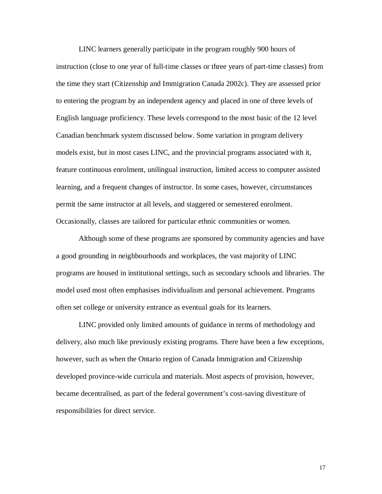LINC learners generally participate in the program roughly 900 hours of instruction (close to one year of full-time classes or three years of part-time classes) from the time they start (Citizenship and Immigration Canada 2002c). They are assessed prior to entering the program by an independent agency and placed in one of three levels of English language proficiency. These levels correspond to the most basic of the 12 level Canadian benchmark system discussed below. Some variation in program delivery models exist, but in most cases LINC, and the provincial programs associated with it, feature continuous enrolment, unilingual instruction, limited access to computer assisted learning, and a frequent changes of instructor. In some cases, however, circumstances permit the same instructor at all levels, and staggered or semestered enrolment. Occasionally, classes are tailored for particular ethnic communities or women.

 Although some of these programs are sponsored by community agencies and have a good grounding in neighbourhoods and workplaces, the vast majority of LINC programs are housed in institutional settings, such as secondary schools and libraries. The model used most often emphasises individualism and personal achievement. Programs often set college or university entrance as eventual goals for its learners.

 LINC provided only limited amounts of guidance in terms of methodology and delivery, also much like previously existing programs. There have been a few exceptions, however, such as when the Ontario region of Canada Immigration and Citizenship developed province-wide curricula and materials. Most aspects of provision, however, became decentralised, as part of the federal government's cost-saving divestiture of responsibilities for direct service.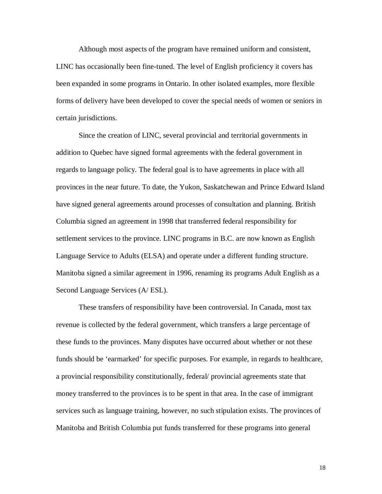Although most aspects of the program have remained uniform and consistent, LINC has occasionally been fine-tuned. The level of English proficiency it covers has been expanded in some programs in Ontario. In other isolated examples, more flexible forms of delivery have been developed to cover the special needs of women or seniors in certain jurisdictions.

 Since the creation of LINC, several provincial and territorial governments in addition to Quebec have signed formal agreements with the federal government in regards to language policy. The federal goal is to have agreements in place with all provinces in the near future. To date, the Yukon, Saskatchewan and Prince Edward Island have signed general agreements around processes of consultation and planning. British Columbia signed an agreement in 1998 that transferred federal responsibility for settlement services to the province. LINC programs in B.C. are now known as English Language Service to Adults (ELSA) and operate under a different funding structure. Manitoba signed a similar agreement in 1996, renaming its programs Adult English as a Second Language Services (A/ ESL).

 These transfers of responsibility have been controversial. In Canada, most tax revenue is collected by the federal government, which transfers a large percentage of these funds to the provinces. Many disputes have occurred about whether or not these funds should be 'earmarked' for specific purposes. For example, in regards to healthcare, a provincial responsibility constitutionally, federal/ provincial agreements state that money transferred to the provinces is to be spent in that area. In the case of immigrant services such as language training, however, no such stipulation exists. The provinces of Manitoba and British Columbia put funds transferred for these programs into general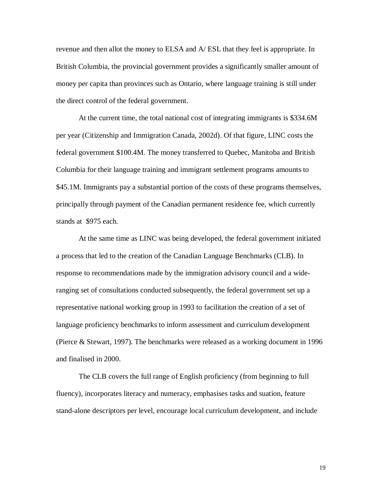revenue and then allot the money to ELSA and A/ ESL that they feel is appropriate. In British Columbia, the provincial government provides a significantly smaller amount of money per capita than provinces such as Ontario, where language training is still under the direct control of the federal government.

 At the current time, the total national cost of integrating immigrants is \$334.6M per year (Citizenship and Immigration Canada, 2002d). Of that figure, LINC costs the federal government \$100.4M. The money transferred to Quebec, Manitoba and British Columbia for their language training and immigrant settlement programs amounts to \$45.1M. Immigrants pay a substantial portion of the costs of these programs themselves, principally through payment of the Canadian permanent residence fee, which currently stands at \$975 each.

 At the same time as LINC was being developed, the federal government initiated a process that led to the creation of the Canadian Language Benchmarks (CLB). In response to recommendations made by the immigration advisory council and a wideranging set of consultations conducted subsequently, the federal government set up a representative national working group in 1993 to facilitation the creation of a set of language proficiency benchmarks to inform assessment and curriculum development (Pierce & Stewart, 1997). The benchmarks were released as a working document in 1996 and finalised in 2000.

 The CLB covers the full range of English proficiency (from beginning to full fluency), incorporates literacy and numeracy, emphasises tasks and suation, feature stand-alone descriptors per level, encourage local curriculum development, and include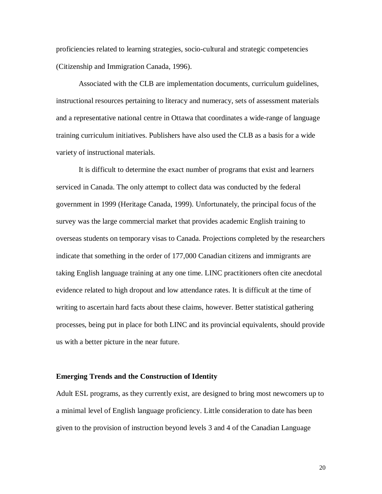proficiencies related to learning strategies, socio-cultural and strategic competencies (Citizenship and Immigration Canada, 1996).

 Associated with the CLB are implementation documents, curriculum guidelines, instructional resources pertaining to literacy and numeracy, sets of assessment materials and a representative national centre in Ottawa that coordinates a wide-range of language training curriculum initiatives. Publishers have also used the CLB as a basis for a wide variety of instructional materials.

 It is difficult to determine the exact number of programs that exist and learners serviced in Canada. The only attempt to collect data was conducted by the federal government in 1999 (Heritage Canada, 1999). Unfortunately, the principal focus of the survey was the large commercial market that provides academic English training to overseas students on temporary visas to Canada. Projections completed by the researchers indicate that something in the order of 177,000 Canadian citizens and immigrants are taking English language training at any one time. LINC practitioners often cite anecdotal evidence related to high dropout and low attendance rates. It is difficult at the time of writing to ascertain hard facts about these claims, however. Better statistical gathering processes, being put in place for both LINC and its provincial equivalents, should provide us with a better picture in the near future.

## **Emerging Trends and the Construction of Identity**

Adult ESL programs, as they currently exist, are designed to bring most newcomers up to a minimal level of English language proficiency. Little consideration to date has been given to the provision of instruction beyond levels 3 and 4 of the Canadian Language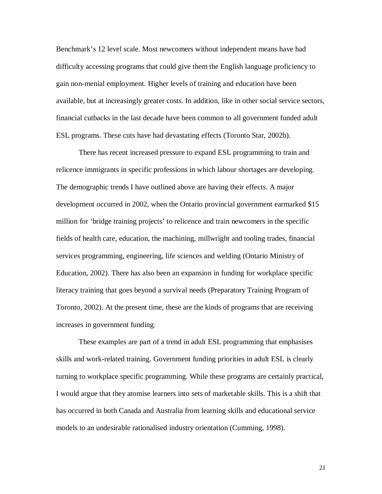Benchmark's 12 level scale. Most newcomers without independent means have had difficulty accessing programs that could give them the English language proficiency to gain non-menial employment. Higher levels of training and education have been available, but at increasingly greater costs. In addition, like in other social service sectors, financial cutbacks in the last decade have been common to all government funded adult ESL programs. These cuts have had devastating effects (Toronto Star, 2002b).

 There has recent increased pressure to expand ESL programming to train and relicence immigrants in specific professions in which labour shortages are developing. The demographic trends I have outlined above are having their effects. A major development occurred in 2002, when the Ontario provincial government earmarked \$15 million for 'bridge training projects' to relicence and train newcomers in the specific fields of health care, education, the machining, millwright and tooling trades, financial services programming, engineering, life sciences and welding (Ontario Ministry of Education, 2002). There has also been an expansion in funding for workplace specific literacy training that goes beyond a survival needs (Preparatory Training Program of Toronto, 2002). At the present time, these are the kinds of programs that are receiving increases in government funding.

 These examples are part of a trend in adult ESL programming that emphasises skills and work-related training. Government funding priorities in adult ESL is clearly turning to workplace specific programming. While these programs are certainly practical, I would argue that they atomise learners into sets of marketable skills. This is a shift that has occurred in both Canada and Australia from learning skills and educational service models to an undesirable rationalised industry orientation (Cumming, 1998).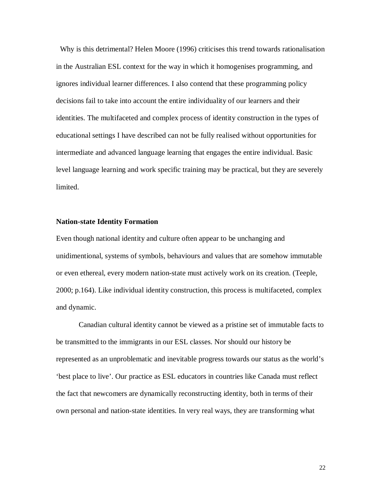Why is this detrimental? Helen Moore (1996) criticises this trend towards rationalisation in the Australian ESL context for the way in which it homogenises programming, and ignores individual learner differences. I also contend that these programming policy decisions fail to take into account the entire individuality of our learners and their identities. The multifaceted and complex process of identity construction in the types of educational settings I have described can not be fully realised without opportunities for intermediate and advanced language learning that engages the entire individual. Basic level language learning and work specific training may be practical, but they are severely limited.

### **Nation-state Identity Formation**

Even though national identity and culture often appear to be unchanging and unidimentional, systems of symbols, behaviours and values that are somehow immutable or even ethereal, every modern nation-state must actively work on its creation. (Teeple, 2000; p.164). Like individual identity construction, this process is multifaceted, complex and dynamic.

 Canadian cultural identity cannot be viewed as a pristine set of immutable facts to be transmitted to the immigrants in our ESL classes. Nor should our history be represented as an unproblematic and inevitable progress towards our status as the world's 'best place to live'. Our practice as ESL educators in countries like Canada must reflect the fact that newcomers are dynamically reconstructing identity, both in terms of their own personal and nation-state identities. In very real ways, they are transforming what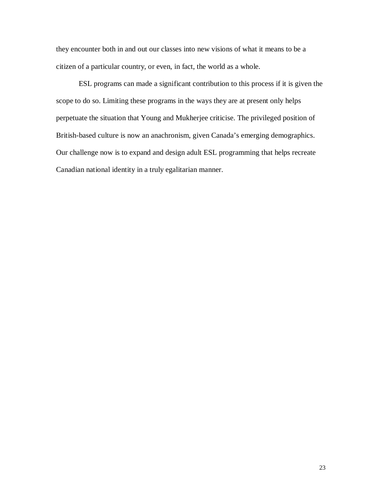they encounter both in and out our classes into new visions of what it means to be a citizen of a particular country, or even, in fact, the world as a whole.

 ESL programs can made a significant contribution to this process if it is given the scope to do so. Limiting these programs in the ways they are at present only helps perpetuate the situation that Young and Mukherjee criticise. The privileged position of British-based culture is now an anachronism, given Canada's emerging demographics. Our challenge now is to expand and design adult ESL programming that helps recreate Canadian national identity in a truly egalitarian manner.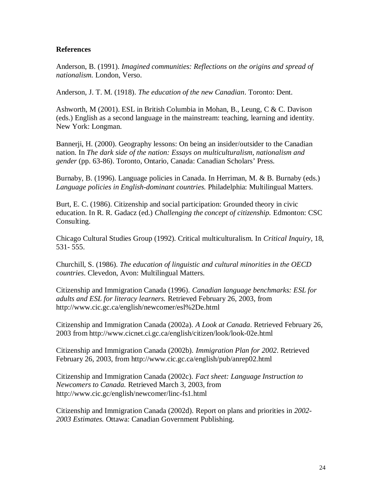# **References**

Anderson, B. (1991). *Imagined communities: Reflections on the origins and spread of nationalism.* London, Verso.

Anderson, J. T. M. (1918). *The education of the new Canadian*. Toronto: Dent.

Ashworth, M (2001). ESL in British Columbia in Mohan, B., Leung, C & C. Davison (eds.) English as a second language in the mainstream: teaching, learning and identity. New York: Longman.

Bannerji, H. (2000). Geography lessons: On being an insider/outsider to the Canadian nation. In *The dark side of the nation: Essays on multiculturalism, nationalism and gender* (pp. 63-86). Toronto, Ontario, Canada: Canadian Scholars' Press.

Burnaby, B. (1996). Language policies in Canada. In Herriman, M. & B. Burnaby (eds.) *Language policies in English-dominant countries.* Philadelphia: Multilingual Matters.

Burt, E. C. (1986). Citizenship and social participation: Grounded theory in civic education. In R. R. Gadacz (ed.) *Challenging the concept of citizenship.* Edmonton: CSC Consulting.

Chicago Cultural Studies Group (1992). Critical multiculturalism. In *Critical Inquiry,* 18, 531- 555.

Churchill, S. (1986). *The education of linguistic and cultural minorities in the OECD countries*. Clevedon, Avon: Multilingual Matters.

Citizenship and Immigration Canada (1996). *Canadian language benchmarks: ESL for adults and ESL for literacy learners.* Retrieved February 26, 2003, from <http://www.cic.gc.ca/english/newcomer/esl%2De.html>

Citizenship and Immigration Canada (2002a). *A Look at Canada*. Retrieved February 26, 2003 from<http://www.cicnet.ci.gc.ca/english/citizen/look/look-02e.html>

Citizenship and Immigration Canada (2002b). *Immigration Plan for 2002*. Retrieved February 26, 2003, from <http://www.cic.gc.ca/english/pub/anrep02.html>

Citizenship and Immigration Canada (2002c). *Fact sheet: Language Instruction to Newcomers to Canada.* Retrieved March 3, 2003, from <http://www.cic.gc/english/newcomer/linc-fs1.html>

Citizenship and Immigration Canada (2002d). Report on plans and priorities in *2002- 2003 Estimates.* Ottawa: Canadian Government Publishing.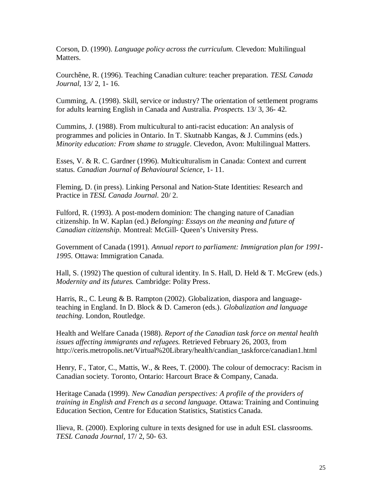Corson, D. (1990). *Language policy across the curriculum.* Clevedon: Multilingual Matters.

Courchêne, R. (1996). Teaching Canadian culture: teacher preparation. *TESL Canada Journal*, 13/ 2, 1- 16.

Cumming, A. (1998). Skill, service or industry? The orientation of settlement programs for adults learning English in Canada and Australia. *Prospects.* 13/ 3, 36- 42.

Cummins, J. (1988). From multicultural to anti-racist education: An analysis of programmes and policies in Ontario. In T. Skutnabb Kangas, & J. Cummins (eds.) *Minority education: From shame to struggle*. Clevedon, Avon: Multilingual Matters.

Esses, V. & R. C. Gardner (1996). Multiculturalism in Canada: Context and current status. *Canadian Journal of Behavioural Science,* 1- 11.

Fleming, D. (in press). Linking Personal and Nation-State Identities: Research and Practice in *TESL Canada Journal.* 20/ 2.

Fulford, R. (1993). A post-modern dominion: The changing nature of Canadian citizenship. In W. Kaplan (ed.) *Belonging: Essays on the meaning and future of Canadian citizenship.* Montreal: McGill- Queen's University Press.

Government of Canada (1991). *Annual report to parliament: Immigration plan for 1991- 1995.* Ottawa: Immigration Canada.

Hall, S. (1992) The question of cultural identity. In S. Hall, D. Held & T. McGrew (eds.) *Modernity and its futures.* Cambridge: Polity Press.

Harris, R., C. Leung & B. Rampton (2002). Globalization, diaspora and languageteaching in England. In D. Block & D. Cameron (eds.). *Globalization and language teaching*. London, Routledge.

Health and Welfare Canada (1988). *Report of the Canadian task force on mental health issues affecting immigrants and refugees.* Retrieved February 26, 2003, from [http://ceris.metropolis.net/Virtual%20Library/health/candian\\_taskforce/canadian1.html](http://ceris.metropolis.net/Virtual%20Library/health/candian_taskforce/canadian1.html)

Henry, F., Tator, C., Mattis, W., & Rees, T. (2000). The colour of democracy: Racism in Canadian society. Toronto, Ontario: Harcourt Brace & Company, Canada.

Heritage Canada (1999). *New Canadian perspectives: A profile of the providers of training in English and French as a second language.* Ottawa: Training and Continuing Education Section, Centre for Education Statistics, Statistics Canada.

Ilieva, R. (2000). Exploring culture in texts designed for use in adult ESL classrooms. *TESL Canada Journal*, 17/ 2, 50- 63.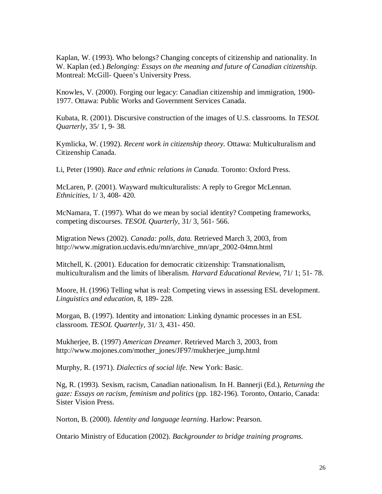Kaplan, W. (1993). Who belongs? Changing concepts of citizenship and nationality. In W. Kaplan (ed.) *Belonging: Essays on the meaning and future of Canadian citizenship.* Montreal: McGill- Queen's University Press.

Knowles, V. (2000). Forging our legacy: Canadian citizenship and immigration, 1900- 1977. Ottawa: Public Works and Government Services Canada.

Kubata, R. (2001). Discursive construction of the images of U.S. classrooms. In *TESOL Quarterly*, 35/ 1, 9- 38.

Kymlicka, W. (1992). *Recent work in citizenship theory.* Ottawa: Multiculturalism and Citizenship Canada.

Li, Peter (1990). *Race and ethnic relations in Canada.* Toronto: Oxford Press.

McLaren, P. (2001). Wayward multiculturalists: A reply to Gregor McLennan. *Ethnicities,* 1/ 3, 408- 420*.*

McNamara, T. (1997). What do we mean by social identity? Competing frameworks, competing discourses. *TESOL Quarterly,* 31/ 3, 561- 566.

Migration News (2002). *Canada: polls, data.* Retrieved March 3, 2003, from [http://www.migration.ucdavis.edu/mn/archive\\_mn/apr\\_2002-04mn.html](http://www.migration.ucdavis.edu/mn/archive_mn/apr_2002-04mn.html)

Mitchell, K. (2001). Education for democratic citizenship: Transnationalism, multiculturalism and the limits of liberalism. *Harvard Educational Review*, 71/ 1; 51- 78.

Moore, H. (1996) Telling what is real: Competing views in assessing ESL development. *Linguistics and education,* 8, 189- 228.

Morgan, B. (1997). Identity and intonation: Linking dynamic processes in an ESL classroom. *TESOL Quarterly,* 31/ 3, 431- 450.

Mukherjee, B. (1997) *American Dreamer*. Retrieved March 3, 2003, from [http://www.mojones.com/mother\\_jones/JF97/mukherjee\\_jump.html](http://www.mojones.com/mother_jones/JF97/mukherjee_jump.html)

Murphy, R. (1971). *Dialectics of social life.* New York: Basic.

Ng, R. (1993). Sexism, racism, Canadian nationalism. In H. Bannerji (Ed.), *Returning the gaze: Essays on racism, feminism and politics* (pp. 182-196). Toronto, Ontario, Canada: Sister Vision Press.

Norton, B. (2000). *Identity and language learning*. Harlow: Pearson.

Ontario Ministry of Education (2002). *Backgrounder to bridge training programs.*